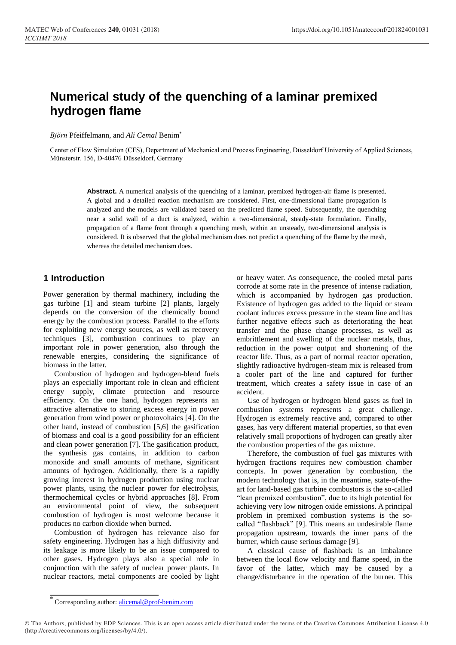# **Numerical study of the quenching of a laminar premixed hydrogen flame**

*Björn* Pfeiffelmann, and *Ali Cemal* Benim\*

Center of Flow Simulation (CFS), Department of Mechanical and Process Engineering, Düsseldorf University of Applied Sciences, Münsterstr. 156, D-40476 Düsseldorf, Germany

> **Abstract.** A numerical analysis of the quenching of a laminar, premixed hydrogen-air flame is presented. A global and a detailed reaction mechanism are considered. First, one-dimensional flame propagation is analyzed and the models are validated based on the predicted flame speed. Subsequently, the quenching near a solid wall of a duct is analyzed, within a two-dimensional, steady-state formulation. Finally, propagation of a flame front through a quenching mesh, within an unsteady, two-dimensional analysis is considered. It is observed that the global mechanism does not predict a quenching of the flame by the mesh, whereas the detailed mechanism does.

# **1 Introduction**

Power generation by thermal machinery, including the gas turbine [1] and steam turbine [2] plants, largely depends on the conversion of the chemically bound energy by the combustion process. Parallel to the efforts for exploiting new energy sources, as well as recovery techniques [3], combustion continues to play an important role in power generation, also through the renewable energies, considering the significance of biomass in the latter.

Combustion of hydrogen and hydrogen-blend fuels plays an especially important role in clean and efficient energy supply, climate protection and resource efficiency. On the one hand, hydrogen represents an attractive alternative to storing excess energy in power generation from wind power or photovoltaics [4]. On the other hand, instead of combustion [5,6] the gasification of biomass and coal is a good possibility for an efficient and clean power generation [7]. The gasification product, the synthesis gas contains, in addition to carbon monoxide and small amounts of methane, significant amounts of hydrogen. Additionally, there is a rapidly growing interest in hydrogen production using nuclear power plants, using the nuclear power for electrolysis, thermochemical cycles or hybrid approaches [8]. From an environmental point of view, the subsequent combustion of hydrogen is most welcome because it produces no carbon dioxide when burned.

Combustion of hydrogen has relevance also for safety engineering. Hydrogen has a high diffusivity and its leakage is more likely to be an issue compared to other gases. Hydrogen plays also a special role in conjunction with the safety of nuclear power plants. In nuclear reactors, metal components are cooled by light

or heavy water. As consequence, the cooled metal parts corrode at some rate in the presence of intense radiation, which is accompanied by hydrogen gas production. Existence of hydrogen gas added to the liquid or steam coolant induces excess pressure in the steam line and has further negative effects such as deteriorating the heat transfer and the phase change processes, as well as embrittlement and swelling of the nuclear metals, thus, reduction in the power output and shortening of the reactor life. Thus, as a part of normal reactor operation, slightly radioactive hydrogen-steam mix is released from a cooler part of the line and captured for further treatment, which creates a safety issue in case of an accident.

Use of hydrogen or hydrogen blend gases as fuel in combustion systems represents a great challenge. Hydrogen is extremely reactive and, compared to other gases, has very different material properties, so that even relatively small proportions of hydrogen can greatly alter the combustion properties of the gas mixture.

Therefore, the combustion of fuel gas mixtures with hydrogen fractions requires new combustion chamber concepts. In power generation by combustion, the modern technology that is, in the meantime, state-of-theart for land-based gas turbine combustors is the so-called "lean premixed combustion", due to its high potential for achieving very low nitrogen oxide emissions. A principal problem in premixed combustion systems is the socalled "flashback" [9]. This means an undesirable flame propagation upstream, towards the inner parts of the burner, which cause serious damage [9].

A classical cause of flashback is an imbalance between the local flow velocity and flame speed, in the favor of the latter, which may be caused by a change/disturbance in the operation of the burner. This

<sup>\*</sup> Corresponding author: alicemal@prof-benim.com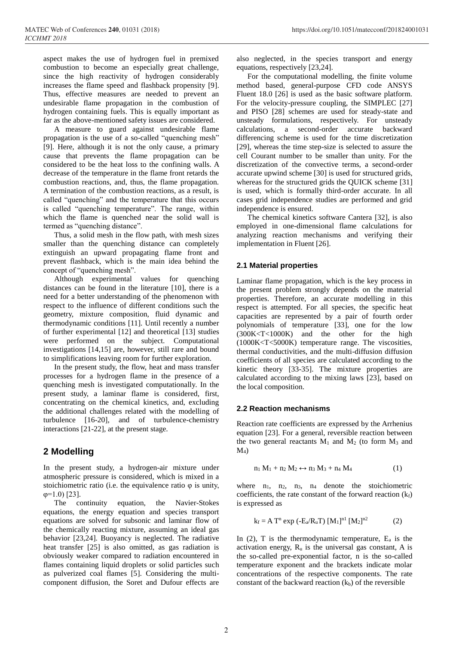aspect makes the use of hydrogen fuel in premixed combustion to become an especially great challenge, since the high reactivity of hydrogen considerably increases the flame speed and flashback propensity [9]. Thus, effective measures are needed to prevent an undesirable flame propagation in the combustion of hydrogen containing fuels. This is equally important as far as the above-mentioned safety issues are considered.

A measure to guard against undesirable flame propagation is the use of a so-called "quenching mesh" [9]. Here, although it is not the only cause, a primary cause that prevents the flame propagation can be considered to be the heat loss to the confining walls. A decrease of the temperature in the flame front retards the combustion reactions, and, thus, the flame propagation. A termination of the combustion reactions, as a result, is called "quenching" and the temperature that this occurs is called "quenching temperature". The range, within which the flame is quenched near the solid wall is termed as "quenching distance".

Thus, a solid mesh in the flow path, with mesh sizes smaller than the quenching distance can completely extinguish an upward propagating flame front and prevent flashback, which is the main idea behind the concept of "quenching mesh".

Although experimental values for quenching distances can be found in the literature [10], there is a need for a better understanding of the phenomenon with respect to the influence of different conditions such the geometry, mixture composition, fluid dynamic and thermodynamic conditions [11]. Until recently a number of further experimental [12] and theoretical [13] studies were performed on the subject. Computational investigations [14,15] are, however, still rare and bound to simplifications leaving room for further exploration.

In the present study, the flow, heat and mass transfer processes for a hydrogen flame in the presence of a quenching mesh is investigated computationally. In the present study, a laminar flame is considered, first, concentrating on the chemical kinetics, and, excluding the additional challenges related with the modelling of turbulence [16-20], and of turbulence-chemistry interactions [21-22], at the present stage.

# **2 Modelling**

In the present study, a hydrogen-air mixture under atmospheric pressure is considered, which is mixed in a stoichiometric ratio (i.e. the equivalence ratio  $\varphi$  is unity,  $φ=1.0$ ) [23].

The continuity equation, the Navier-Stokes equations, the energy equation and species transport equations are solved for subsonic and laminar flow of the chemically reacting mixture, assuming an ideal gas behavior [23,24]. Buoyancy is neglected. The radiative heat transfer [25] is also omitted, as gas radiation is obviously weaker compared to radiation encountered in flames containing liquid droplets or solid particles such as pulverized coal flames [5]. Considering the multicomponent diffusion, the Soret and Dufour effects are

also neglected, in the species transport and energy equations, respectively [23,24].

For the computational modelling, the finite volume method based, general-purpose CFD code ANSYS Fluent 18.0 [26] is used as the basic software platform. For the velocity-pressure coupling, the SIMPLEC [27] and PISO [28] schemes are used for steady-state and unsteady formulations, respectively. For unsteady calculations, a second-order accurate backward differencing scheme is used for the time discretization [29], whereas the time step-size is selected to assure the cell Courant number to be smaller than unity. For the discretization of the convective terms, a second-order accurate upwind scheme [30] is used for structured grids, whereas for the structured grids the QUICK scheme [31] is used, which is formally third-order accurate. In all cases grid independence studies are performed and grid independence is ensured.

The chemical kinetics software Cantera [32], is also employed in one-dimensional flame calculations for analyzing reaction mechanisms and verifying their implementation in Fluent [26].

#### **2.1 Material properties**

Laminar flame propagation, which is the key process in the present problem strongly depends on the material properties. Therefore, an accurate modelling in this respect is attempted. For all species, the specific heat capacities are represented by a pair of fourth order polynomials of temperature [33], one for the low (300K<T<1000K) and the other for the high (1000K<T<5000K) temperature range. The viscosities, thermal conductivities, and the multi-diffusion diffusion coefficients of all species are calculated according to the kinetic theory [33-35]. The mixture properties are calculated according to the mixing laws [23], based on the local composition.

#### **2.2 Reaction mechanisms**

Reaction rate coefficients are expressed by the Arrhenius equation [23]. For a general, reversible reaction between the two general reactants  $M_1$  and  $M_2$  (to form  $M_3$  and  $M_4$ 

$$
n_1 M_1 + n_2 M_2 \leftrightarrow n_3 M_3 + n_4 M_4 \tag{1}
$$

where  $n_1$ ,  $n_2$ ,  $n_3$ ,  $n_4$  denote the stoichiometric coefficients, the rate constant of the forward reaction  $(k_f)$ is expressed as

$$
k_f = A T^n \exp(-E_a/R_u T) [M_1]^{n1} [M_2]^{n2}
$$
 (2)

In (2), T is the thermodynamic temperature,  $E_a$  is the activation energy,  $R_u$  is the universal gas constant, A is the so-called pre-exponential factor, n is the so-called temperature exponent and the brackets indicate molar concentrations of the respective components. The rate constant of the backward reaction  $(k_b)$  of the reversible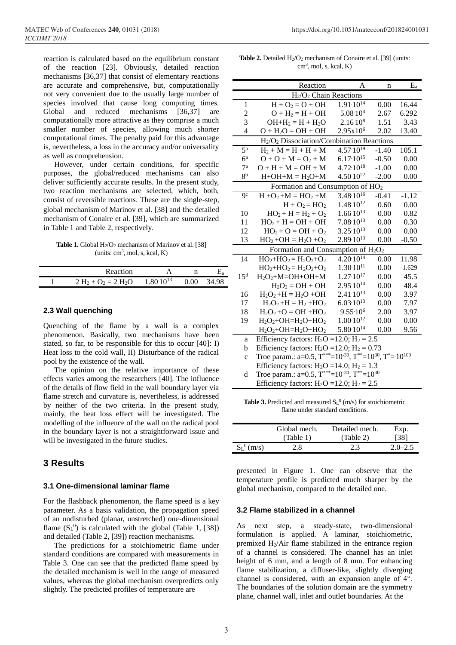reaction is calculated based on the equilibrium constant of the reaction [23]. Obviously, detailed reaction mechanisms [36,37] that consist of elementary reactions are accurate and comprehensive, but, computationally not very convenient due to the usually large number of species involved that cause long computing times. Global and reduced mechanisms [36,37] are computationally more attractive as they comprise a much smaller number of species, allowing much shorter computational times. The penalty paid for this advantage is, nevertheless, a loss in the accuracy and/or universality as well as comprehension.

However, under certain conditions, for specific purposes, the global/reduced mechanisms can also deliver sufficiently accurate results. In the present study, two reaction mechanisms are selected, which, both, consist of reversible reactions. These are the single-step, global mechanism of Marinov et al. [38] and the detailed mechanism of Conaire et al. [39], which are summarized in Table 1 and Table 2, respectively.

**Table 1.** Global H<sub>2</sub>/O<sub>2</sub> mechanism of Marinov et al. [38]  $(units: cm<sup>3</sup>, mol, s, kcal, K)$ 

| <b>Reaction</b>        |                      |     |       |
|------------------------|----------------------|-----|-------|
| $2 H_2 + O_2 = 2 H_2O$ | $1.80 \cdot 10^{13}$ | .00 | 34.98 |

#### **2.3 Wall quenching**

Quenching of the flame by a wall is a complex phenomenon. Basically, two mechanisms have been stated, so far, to be responsible for this to occur [40]: I) Heat loss to the cold wall, II) Disturbance of the radical pool by the existence of the wall.

The opinion on the relative importance of these effects varies among the researchers [40]. The influence of the details of flow field in the wall boundary layer via flame stretch and curvature is, nevertheless, is addressed by neither of the two criteria. In the present study, mainly, the heat loss effect will be investigated. The modelling of the influence of the wall on the radical pool in the boundary layer is not a straightforward issue and will be investigated in the future studies.

#### **3 Results**

#### **3.1 One-dimensional laminar flame**

For the flashback phenomenon, the flame speed is a key parameter. As a basis validation, the propagation speed of an undisturbed (planar, unstretched) one-dimensional flame  $(S_L^0)$  is calculated with the global (Table 1, [38]) and detailed (Table 2, [39]) reaction mechanisms.

The predictions for a stoichiometric flame under standard conditions are compared with measurements in Table 3. One can see that the predicted flame speed by the detailed mechanism is well in the range of measured values, whereas the global mechanism overpredicts only slightly. The predicted profiles of temperature are

Table 2. Detailed H<sub>2</sub>/O<sub>2</sub> mechanism of Conaire et al. [39] (units: cm<sup>3</sup> , mol, s, kcal, K)

|                                                | Reaction                                                                                                   | A                    | n       | $\mathbf{E}_{\text{a}}$ |
|------------------------------------------------|------------------------------------------------------------------------------------------------------------|----------------------|---------|-------------------------|
| H <sub>2</sub> /O <sub>2</sub> Chain Reactions |                                                                                                            |                      |         |                         |
| 1                                              | $H + O_2 = O + OH$                                                                                         | $1.91 \cdot 10^{14}$ | 0.00    | 16.44                   |
| 2                                              | $O + H_2 = H + OH$                                                                                         | $5.08 \cdot 10^{4}$  | 2.67    | 6.292                   |
| 3                                              | $OH+H_2 = H + H_2O$                                                                                        | $2.16 \cdot 10^8$    | 1.51    | 3.43                    |
| $\overline{4}$                                 | $O + H2O = OH + OH$                                                                                        | 2.95x10 <sup>6</sup> | 2.02    | 13.40                   |
|                                                | H <sub>2</sub> /O <sub>2</sub> Dissociation/Combination Reactions                                          |                      |         |                         |
| 5 <sup>a</sup>                                 | $H_2 + M = H + H + M$                                                                                      | $4.57 \cdot 10^{19}$ | $-1.40$ | 105.1                   |
| $6^{\mathrm{a}}$                               | $O + O + M = O2 + M$                                                                                       | $6.17 \cdot 10^{15}$ | $-0.50$ | 0.00                    |
| 7 <sup>a</sup>                                 | $O + H + M = OH + M$                                                                                       | $4.72 \cdot 10^{18}$ | $-1.00$ | 0.00                    |
| 8 <sup>b</sup>                                 | $H+OH+M = H2O+M$                                                                                           | $4.50 \cdot 10^{22}$ | $-2.00$ | 0.00                    |
| Formation and Consumption of $HO2$             |                                                                                                            |                      |         |                         |
| 9 <sup>c</sup>                                 | $\overline{H + O_2} + M = HO_2 + M$                                                                        | $3.48 \cdot 10^{16}$ | $-0.41$ | $-1.12$                 |
|                                                | $H + O_2 = HO_2$                                                                                           | $1.48 \cdot 10^{12}$ | 0.60    | 0.00                    |
| 10                                             | $HO_2 + H = H_2 + O_2$                                                                                     | $1.66 \cdot 10^{13}$ | 0.00    | 0.82                    |
| 11                                             | $HO2 + H = OH + OH$                                                                                        | $7.08 \cdot 10^{13}$ | 0.00    | 0.30                    |
| 12                                             | $HO_2 + O = OH + O_2$                                                                                      | $3.25 \cdot 10^{13}$ | 0.00    | 0.00                    |
| 13                                             | $HO_2 + OH = H_2O + O_2$                                                                                   | $2.89 \cdot 10^{13}$ | 0.00    | $-0.50$                 |
| Formation and Consumption of $H_2O_2$          |                                                                                                            |                      |         |                         |
| 14                                             | $HO_2 + HO_2 = H_2O_2 + O_2$                                                                               | $4.20 \cdot 10^{14}$ | 0.00    | 11.98                   |
|                                                | $HO_2 + HO_2 = H_2O_2 + O_2$                                                                               | $1.30 \cdot 10^{11}$ | 0.00    | $-1.629$                |
| 15 <sup>d</sup>                                | $H_2O_2+M=OH+OH+M$                                                                                         | $1.27 \cdot 10^{17}$ | 0.00    | 45.5                    |
|                                                | $H_2O_2 = OH + OH$                                                                                         | $2.95 \cdot 10^{14}$ | 0.00    | 48.4                    |
| 16                                             | $H_2O_2 + H = H_2O + OH$                                                                                   | $2.41 \cdot 10^{13}$ | 0.00    | 3.97                    |
| 17                                             | $H_2O_2 + H = H_2 + HO_2$                                                                                  | $6.03 \cdot 10^{13}$ | 0.00    | 7.97                    |
| 18                                             | $H_2O_2 + O = OH + HO_2$                                                                                   | $9.55 \cdot 10^6$    | 2.00    | 3.97                    |
| 19                                             | $H_2O_2+OH=H_2O+HO_2$                                                                                      | $1.00 \cdot 10^{12}$ | 0.00    | 0.00                    |
|                                                | $H_2O_2+OH=H_2O+HO_2$                                                                                      | $5.80 \cdot 10^{14}$ | 0.00    | 9.56                    |
| a                                              | Efficiency factors: $H_2O = 12.0$ ; $H_2 = 2.5$                                                            |                      |         |                         |
| b                                              | Efficiency factors: $H_2O = 12.0$ ; $H_2 = 0.73$                                                           |                      |         |                         |
| $\mathbf{c}$                                   | Troe param.: a=0.5, $T^{***}$ =10 <sup>-30</sup> , $T^{**}$ =10 <sup>30</sup> , $T^{*}$ =10 <sup>100</sup> |                      |         |                         |
|                                                | Efficiency factors: $H_2O = 14.0$ ; $H_2 = 1.3$                                                            |                      |         |                         |
| d                                              | Troe param.: a=0.5, $T^{***}$ =10 <sup>-30</sup> , $T^{**}$ =10 <sup>30</sup>                              |                      |         |                         |
|                                                | Efficiency factors: $H_2O = 12.0$ ; $H_2 = 2.5$                                                            |                      |         |                         |
|                                                |                                                                                                            |                      |         |                         |

**Table 3.** Predicted and measured  $SL^0$  (m/s) for stoichiometric flame under standard conditions.

|                   | Global mech. | Detailed mech. | Exp.        |
|-------------------|--------------|----------------|-------------|
|                   | (Table 1)    | (Table 2)      | [38]        |
| $S_{L}^{0}$ (m/s) | 2.8          | 2.3            | $2.0 - 2.5$ |
|                   |              |                |             |

presented in Figure 1. One can observe that the temperature profile is predicted much sharper by the global mechanism, compared to the detailed one.

#### **3.2 Flame stabilized in a channel**

As next step, a steady-state, two-dimensional formulation is applied. A laminar, stoichiometric, premixed  $H_2/A$ ir flame stabilized in the entrance region of a channel is considered. The channel has an inlet height of 6 mm, and a length of 8 mm. For enhancing flame stabilization, a diffuser-like, slightly diverging channel is considered, with an expansion angle of 4°. The boundaries of the solution domain are the symmetry plane, channel wall, inlet and outlet boundaries. At the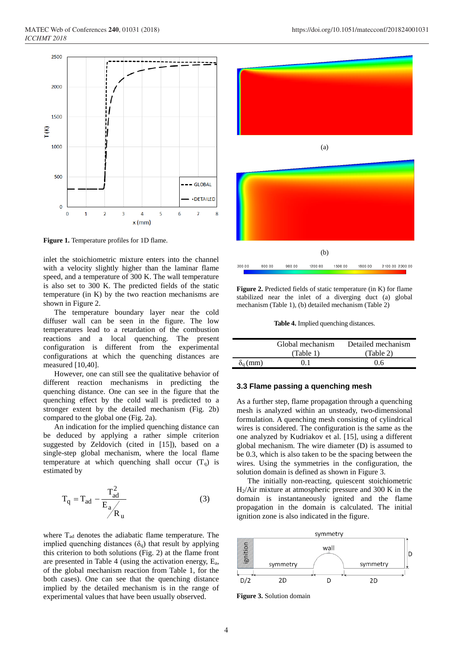

**Figure 1.** Temperature profiles for 1D flame.

inlet the stoichiometric mixture enters into the channel with a velocity slightly higher than the laminar flame speed, and a temperature of 300 K. The wall temperature is also set to 300 K. The predicted fields of the static temperature (in K) by the two reaction mechanisms are shown in Figure 2.

The temperature boundary layer near the cold diffuser wall can be seen in the figure. The low temperatures lead to a retardation of the combustion reactions and a local quenching. The present configuration is different from the experimental configurations at which the quenching distances are measured [10,40].

However, one can still see the qualitative behavior of different reaction mechanisms in predicting the quenching distance. One can see in the figure that the quenching effect by the cold wall is predicted to a stronger extent by the detailed mechanism (Fig. 2b) compared to the global one (Fig. 2a).

An indication for the implied quenching distance can be deduced by applying a rather simple criterion suggested by Zeldovich (cited in [15]), based on a single-step global mechanism, where the local flame temperature at which quenching shall occur  $(T_q)$  is estimated by

$$
T_q = T_{ad} - \frac{T_{ad}^2}{E_a / R_u}
$$
 (3)

where  $T_{ad}$  denotes the adiabatic flame temperature. The implied quenching distances  $(\delta_q)$  that result by applying this criterion to both solutions (Fig. 2) at the flame front are presented in Table 4 (using the activation energy,  $E_a$ , of the global mechanism reaction from Table 1, for the both cases). One can see that the quenching distance implied by the detailed mechanism is in the range of experimental values that have been usually observed.



**Figure 2.** Predicted fields of static temperature (in K) for flame stabilized near the inlet of a diverging duct (a) global mechanism (Table 1), (b) detailed mechanism (Table 2)

**Table 4.** Implied quenching distances.

|                 | Global mechanism | Detailed mechanism |
|-----------------|------------------|--------------------|
|                 | (Table 1)        | (Table 2)          |
| $\delta_q$ (mm) |                  | 0 6                |

#### **3.3 Flame passing a quenching mesh**

As a further step, flame propagation through a quenching mesh is analyzed within an unsteady, two-dimensional formulation. A quenching mesh consisting of cylindrical wires is considered. The configuration is the same as the one analyzed by Kudriakov et al. [15], using a different global mechanism. The wire diameter (D) is assumed to be 0.3, which is also taken to be the spacing between the wires. Using the symmetries in the configuration, the solution domain is defined as shown in Figure 3.

The initially non-reacting, quiescent stoichiometric H2/Air mixture at atmospheric pressure and 300 K in the domain is instantaneously ignited and the flame propagation in the domain is calculated. The initial ignition zone is also indicated in the figure.



**Figure 3.** Solution domain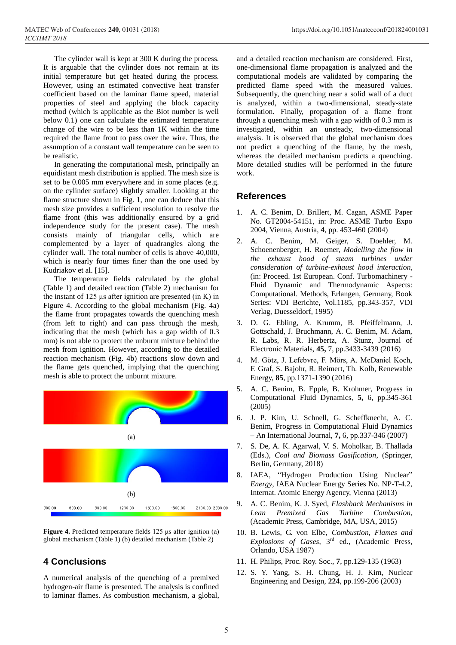The cylinder wall is kept at 300 K during the process. It is arguable that the cylinder does not remain at its initial temperature but get heated during the process. However, using an estimated convective heat transfer coefficient based on the laminar flame speed, material properties of steel and applying the block capacity method (which is applicable as the Biot number is well below 0.1) one can calculate the estimated temperature change of the wire to be less than 1K within the time required the flame front to pass over the wire. Thus, the assumption of a constant wall temperature can be seen to be realistic.

In generating the computational mesh, principally an equidistant mesh distribution is applied. The mesh size is set to be 0.005 mm everywhere and in some places (e.g. on the cylinder surface) slightly smaller. Looking at the flame structure shown in Fig. 1, one can deduce that this mesh size provides a sufficient resolution to resolve the flame front (this was additionally ensured by a grid independence study for the present case). The mesh consists mainly of triangular cells, which are complemented by a layer of quadrangles along the cylinder wall. The total number of cells is above 40,000, which is nearly four times finer than the one used by Kudriakov et al. [15].

The temperature fields calculated by the global (Table 1) and detailed reaction (Table 2) mechanism for the instant of  $125 \mu s$  after ignition are presented (in K) in Figure 4. According to the global mechanism (Fig. 4a) the flame front propagates towards the quenching mesh (from left to right) and can pass through the mesh, indicating that the mesh (which has a gap width of 0.3 mm) is not able to protect the unburnt mixture behind the mesh from ignition. However, according to the detailed reaction mechanism (Fig. 4b) reactions slow down and the flame gets quenched, implying that the quenching mesh is able to protect the unburnt mixture.



**Figure 4.** Predicted temperature fields 125 μs after ignition (a) global mechanism (Table 1) (b) detailed mechanism (Table 2)

# **4 Conclusions**

A numerical analysis of the quenching of a premixed hydrogen-air flame is presented. The analysis is confined to laminar flames. As combustion mechanism, a global,

and a detailed reaction mechanism are considered. First, one-dimensional flame propagation is analyzed and the computational models are validated by comparing the predicted flame speed with the measured values. Subsequently, the quenching near a solid wall of a duct is analyzed, within a two-dimensional, steady-state formulation. Finally, propagation of a flame front through a quenching mesh with a gap width of 0.3 mm is investigated, within an unsteady, two-dimensional analysis. It is observed that the global mechanism does not predict a quenching of the flame, by the mesh, whereas the detailed mechanism predicts a quenching. More detailed studies will be performed in the future work.

### **References**

- 1. A. C. Benim, D. Brillert, M. Cagan, ASME Paper No. GT2004-54151, in: Proc. ASME Turbo Expo 2004, Vienna, Austria, **4**, pp. 453-460 (2004)
- 2. A. C. Benim, M. Geiger, S. Doehler, M. Schoenenberger, H. Roemer, *Modelling the flow in the exhaust hood of steam turbines under consideration of turbine-exhaust hood interaction*, (in: Proceed. 1st European. Conf. Turbomachinery - Fluid Dynamic and Thermodynamic Aspects: Computational. Methods, Erlangen, Germany, Book Series: VDI Berichte, Vol.1185, pp.343-357, VDI Verlag, Duesseldorf, 1995)
- 3. D. G. Ebling, A. Krumm, B. Pfeiffelmann, J. Gottschald, J. Bruchmann, A. C. Benim, M. Adam, R. Labs, R. R. Herbertz, A. Stunz, Journal of Electronic Materials, **45,** 7, pp.3433-3439 (2016)
- 4. M. Götz, J. Lefebvre, F. Mörs, A. McDaniel Koch, F. Graf, S. Bajohr, R. Reimert, Th. Kolb, Renewable Energy, **85**, pp.1371-1390 (2016)
- 5. A. C. Benim, B. Epple, B. Krohmer, Progress in Computational Fluid Dynamics, **5,** 6, pp.345-361 (2005)
- 6. J. P. Kim, U. Schnell, G. Scheffknecht, A. C. Benim, Progress in Computational Fluid Dynamics – An International Journal, **7,** 6, pp.337-346 (2007)
- 7. S. De, A. K. Agarwal, V. S. Moholkar, B. Thallada (Eds.), *Coal and Biomass Gasification*, (Springer, Berlin, Germany, 2018)
- 8. IAEA, "Hydrogen Production Using Nuclear" *Energy*, IAEA Nuclear Energy Series No. NP-T-4.2, Internat. Atomic Energy Agency, Vienna (2013)
- 9. A. C. Benim, K. J. Syed, *Flashback Mechanisms in Lean Premixed Gas Turbine Combustion,* (Academic Press, Cambridge, MA, USA, 2015)
- 10. B. Lewis, G. von Elbe, *Combustion, Flames and Explosions of Gases*, 3rd ed., (Academic Press, Orlando, USA 1987)
- 11. H. Philips, Proc. Roy. Soc., **7**, pp.129-135 (1963)
- 12. S. Y. Yang, S. H. Chung, H. J. Kim, Nuclear Engineering and Design, **224**, pp.199-206 (2003)